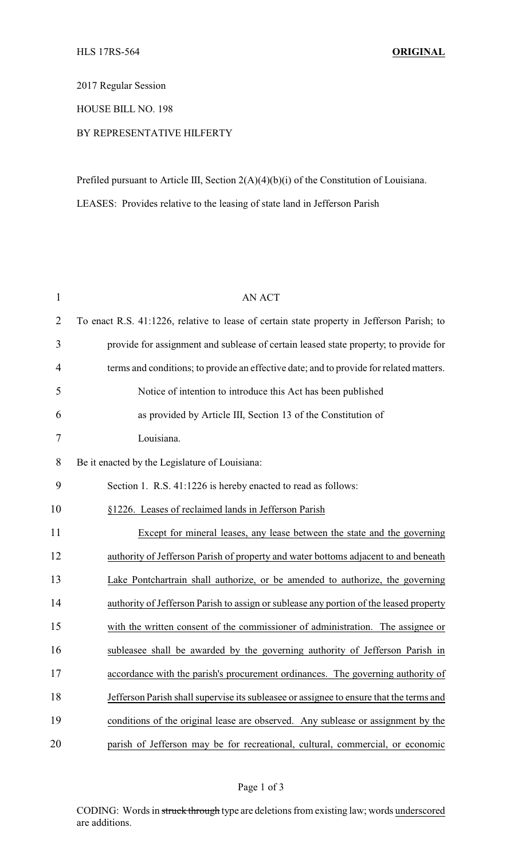2017 Regular Session

## HOUSE BILL NO. 198

## BY REPRESENTATIVE HILFERTY

Prefiled pursuant to Article III, Section 2(A)(4)(b)(i) of the Constitution of Louisiana. LEASES: Provides relative to the leasing of state land in Jefferson Parish

| $\mathbf{1}$   | <b>AN ACT</b>                                                                              |
|----------------|--------------------------------------------------------------------------------------------|
| $\overline{2}$ | To enact R.S. 41:1226, relative to lease of certain state property in Jefferson Parish; to |
| 3              | provide for assignment and sublease of certain leased state property; to provide for       |
| 4              | terms and conditions; to provide an effective date; and to provide for related matters.    |
| 5              | Notice of intention to introduce this Act has been published                               |
| 6              | as provided by Article III, Section 13 of the Constitution of                              |
| 7              | Louisiana.                                                                                 |
| 8              | Be it enacted by the Legislature of Louisiana:                                             |
| 9              | Section 1. R.S. 41:1226 is hereby enacted to read as follows:                              |
| 10             | §1226. Leases of reclaimed lands in Jefferson Parish                                       |
| 11             | Except for mineral leases, any lease between the state and the governing                   |
| 12             | authority of Jefferson Parish of property and water bottoms adjacent to and beneath        |
| 13             | Lake Pontchartrain shall authorize, or be amended to authorize, the governing              |
| 14             | authority of Jefferson Parish to assign or sublease any portion of the leased property     |
| 15             | with the written consent of the commissioner of administration. The assignee or            |
| 16             | subleasee shall be awarded by the governing authority of Jefferson Parish in               |
| 17             | accordance with the parish's procurement ordinances. The governing authority of            |
| 18             | Jefferson Parish shall supervise its subleasee or assignee to ensure that the terms and    |
| 19             | conditions of the original lease are observed. Any sublease or assignment by the           |
| 20             | parish of Jefferson may be for recreational, cultural, commercial, or economic             |

CODING: Words in struck through type are deletions from existing law; words underscored are additions.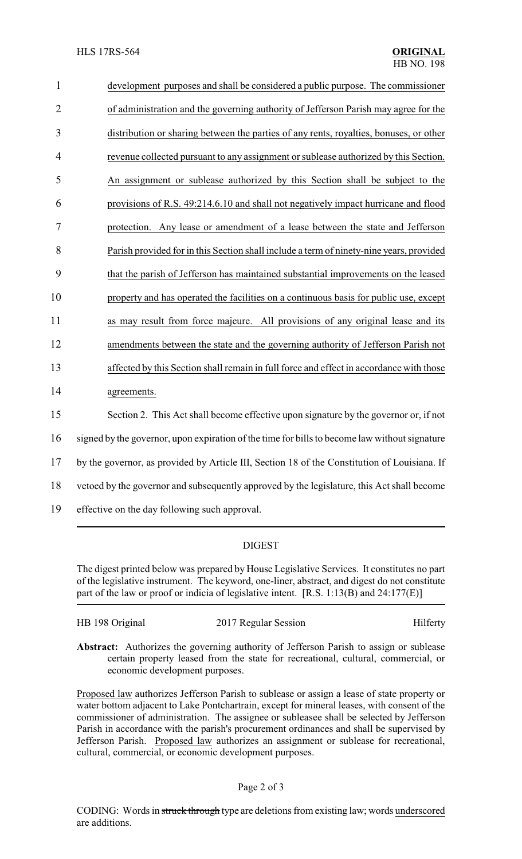| 1              | development purposes and shall be considered a public purpose. The commissioner               |  |  |
|----------------|-----------------------------------------------------------------------------------------------|--|--|
| $\overline{2}$ | of administration and the governing authority of Jefferson Parish may agree for the           |  |  |
| 3              | distribution or sharing between the parties of any rents, royalties, bonuses, or other        |  |  |
| $\overline{4}$ | revenue collected pursuant to any assignment or sublease authorized by this Section.          |  |  |
| 5              | An assignment or sublease authorized by this Section shall be subject to the                  |  |  |
| 6              | provisions of R.S. 49:214.6.10 and shall not negatively impact hurricane and flood            |  |  |
| 7              | protection. Any lease or amendment of a lease between the state and Jefferson                 |  |  |
| 8              | Parish provided for in this Section shall include a term of ninety-nine years, provided       |  |  |
| 9              | that the parish of Jefferson has maintained substantial improvements on the leased            |  |  |
| 10             | property and has operated the facilities on a continuous basis for public use, except         |  |  |
| 11             | as may result from force majeure. All provisions of any original lease and its                |  |  |
| 12             | amendments between the state and the governing authority of Jefferson Parish not              |  |  |
| 13             | affected by this Section shall remain in full force and effect in accordance with those       |  |  |
| 14             | agreements.                                                                                   |  |  |
| 15             | Section 2. This Act shall become effective upon signature by the governor or, if not          |  |  |
| 16             | signed by the governor, upon expiration of the time for bills to become law without signature |  |  |
| 17             | by the governor, as provided by Article III, Section 18 of the Constitution of Louisiana. If  |  |  |
| 18             | vetoed by the governor and subsequently approved by the legislature, this Act shall become    |  |  |
| 19             | effective on the day following such approval.                                                 |  |  |

## DIGEST

The digest printed below was prepared by House Legislative Services. It constitutes no part of the legislative instrument. The keyword, one-liner, abstract, and digest do not constitute part of the law or proof or indicia of legislative intent. [R.S. 1:13(B) and 24:177(E)]

| HB 198 Original | 2017 Regular Session | Hilferty |
|-----------------|----------------------|----------|
|                 |                      |          |

Abstract: Authorizes the governing authority of Jefferson Parish to assign or sublease certain property leased from the state for recreational, cultural, commercial, or economic development purposes.

Proposed law authorizes Jefferson Parish to sublease or assign a lease of state property or water bottom adjacent to Lake Pontchartrain, except for mineral leases, with consent of the commissioner of administration. The assignee or subleasee shall be selected by Jefferson Parish in accordance with the parish's procurement ordinances and shall be supervised by Jefferson Parish. Proposed law authorizes an assignment or sublease for recreational, cultural, commercial, or economic development purposes.

## Page 2 of 3

CODING: Words in struck through type are deletions from existing law; words underscored are additions.